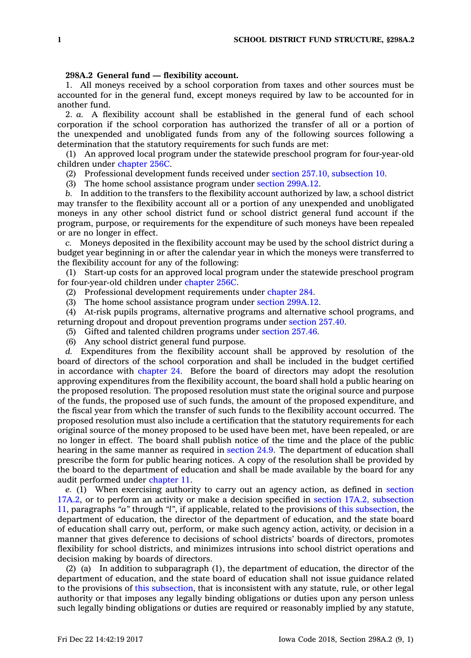## **298A.2 General fund — flexibility account.**

1. All moneys received by <sup>a</sup> school corporation from taxes and other sources must be accounted for in the general fund, except moneys required by law to be accounted for in another fund.

2. *a.* A flexibility account shall be established in the general fund of each school corporation if the school corporation has authorized the transfer of all or <sup>a</sup> portion of the unexpended and unobligated funds from any of the following sources following <sup>a</sup> determination that the statutory requirements for such funds are met:

(1) An approved local program under the statewide preschool program for four-year-old children under [chapter](https://www.legis.iowa.gov/docs/code//256C.pdf) 256C.

(2) Professional development funds received under section 257.10, [subsection](https://www.legis.iowa.gov/docs/code/257.10.pdf) 10.

(3) The home school assistance program under section [299A.12](https://www.legis.iowa.gov/docs/code/299A.12.pdf).

*b.* In addition to the transfers to the flexibility account authorized by law, <sup>a</sup> school district may transfer to the flexibility account all or <sup>a</sup> portion of any unexpended and unobligated moneys in any other school district fund or school district general fund account if the program, purpose, or requirements for the expenditure of such moneys have been repealed or are no longer in effect.

*c.* Moneys deposited in the flexibility account may be used by the school district during <sup>a</sup> budget year beginning in or after the calendar year in which the moneys were transferred to the flexibility account for any of the following:

(1) Start-up costs for an approved local program under the statewide preschool program for four-year-old children under [chapter](https://www.legis.iowa.gov/docs/code//256C.pdf) 256C.

- (2) Professional development requirements under [chapter](https://www.legis.iowa.gov/docs/code//284.pdf) 284.
- (3) The home school assistance program under section [299A.12](https://www.legis.iowa.gov/docs/code/299A.12.pdf).

(4) At-risk pupils programs, alternative programs and alternative school programs, and returning dropout and dropout prevention programs under [section](https://www.legis.iowa.gov/docs/code/257.40.pdf) 257.40.

(5) Gifted and talented children programs under [section](https://www.legis.iowa.gov/docs/code/257.46.pdf) 257.46.

(6) Any school district general fund purpose.

*d.* Expenditures from the flexibility account shall be approved by resolution of the board of directors of the school corporation and shall be included in the budget certified in accordance with [chapter](https://www.legis.iowa.gov/docs/code//24.pdf) 24. Before the board of directors may adopt the resolution approving expenditures from the flexibility account, the board shall hold <sup>a</sup> public hearing on the proposed resolution. The proposed resolution must state the original source and purpose of the funds, the proposed use of such funds, the amount of the proposed expenditure, and the fiscal year from which the transfer of such funds to the flexibility account occurred. The proposed resolution must also include <sup>a</sup> certification that the statutory requirements for each original source of the money proposed to be used have been met, have been repealed, or are no longer in effect. The board shall publish notice of the time and the place of the public hearing in the same manner as required in [section](https://www.legis.iowa.gov/docs/code/24.9.pdf) 24.9. The department of education shall prescribe the form for public hearing notices. A copy of the resolution shall be provided by the board to the department of education and shall be made available by the board for any audit performed under [chapter](https://www.legis.iowa.gov/docs/code//11.pdf) 11.

*e.* (1) When exercising authority to carry out an agency action, as defined in [section](https://www.legis.iowa.gov/docs/code/17A.2.pdf) [17A.2](https://www.legis.iowa.gov/docs/code/17A.2.pdf), or to perform an activity or make <sup>a</sup> decision specified in section 17A.2, [subsection](https://www.legis.iowa.gov/docs/code/17A.2.pdf) [11](https://www.legis.iowa.gov/docs/code/17A.2.pdf), paragraphs *"a"* through *"l"*, if applicable, related to the provisions of this [subsection](https://www.legis.iowa.gov/docs/code/298A.2.pdf), the department of education, the director of the department of education, and the state board of education shall carry out, perform, or make such agency action, activity, or decision in <sup>a</sup> manner that gives deference to decisions of school districts' boards of directors, promotes flexibility for school districts, and minimizes intrusions into school district operations and decision making by boards of directors.

(2) (a) In addition to subparagraph (1), the department of education, the director of the department of education, and the state board of education shall not issue guidance related to the provisions of this [subsection](https://www.legis.iowa.gov/docs/code/298A.2.pdf), that is inconsistent with any statute, rule, or other legal authority or that imposes any legally binding obligations or duties upon any person unless such legally binding obligations or duties are required or reasonably implied by any statute,